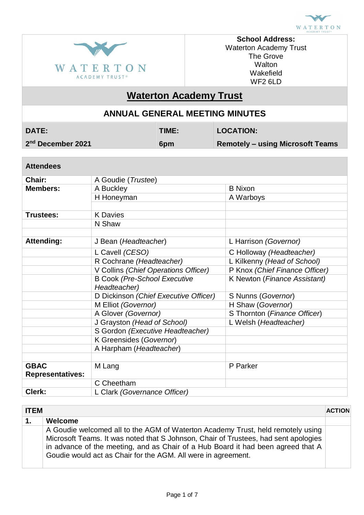



**School Address:** Waterton Academy Trust The Grove **Walton** Wakefield WF2 6LD

# **Waterton Academy Trust**

## **ANNUAL GENERAL MEETING MINUTES**

| <b>DATE:</b> |  |
|--------------|--|
|              |  |

**DATE: TIME: LOCATION:**

2<sup>nd</sup> December 2021

**Remotely – using Microsoft Teams** 

### **Attendees**

| Chair:                                                             | A Goudie (Trustee)                    |                                |  |  |
|--------------------------------------------------------------------|---------------------------------------|--------------------------------|--|--|
| Members:                                                           | A Buckley                             | <b>B</b> Nixon                 |  |  |
|                                                                    | H Honeyman                            | A Warboys                      |  |  |
|                                                                    |                                       |                                |  |  |
| Trustees:                                                          | <b>K</b> Davies                       |                                |  |  |
|                                                                    | N Shaw                                |                                |  |  |
|                                                                    |                                       |                                |  |  |
| <b>Attending:</b><br>L Harrison (Governor)<br>J Bean (Headteacher) |                                       |                                |  |  |
|                                                                    | L Cavell (CESO)                       | C Holloway (Headteacher)       |  |  |
|                                                                    | R Cochrane (Headteacher)              | L Kilkenny (Head of School)    |  |  |
|                                                                    | V Collins (Chief Operations Officer)  | P Knox (Chief Finance Officer) |  |  |
|                                                                    | <b>B Cook (Pre-School Executive</b>   | K Newton (Finance Assistant)   |  |  |
|                                                                    | Headteacher)                          |                                |  |  |
|                                                                    | D Dickinson (Chief Executive Officer) | S Nunns (Governor)             |  |  |
|                                                                    | M Elliot (Governor)                   | H Shaw (Governor)              |  |  |
|                                                                    | A Glover (Governor)                   | S Thornton (Finance Officer)   |  |  |
|                                                                    | J Grayston (Head of School)           | L Welsh (Headteacher)          |  |  |
|                                                                    | S Gordon (Executive Headteacher)      |                                |  |  |
|                                                                    | K Greensides (Governor)               |                                |  |  |
|                                                                    | A Harpham (Headteacher)               |                                |  |  |
|                                                                    |                                       |                                |  |  |
| <b>GBAC</b>                                                        | M Lang                                | P Parker                       |  |  |
| <b>Representatives:</b>                                            |                                       |                                |  |  |
|                                                                    | C Cheetham                            |                                |  |  |
| Clerk:                                                             | L Clark (Governance Officer)          |                                |  |  |

| <b>ITEM</b><br><b>ACTION</b> |                                                                                                                                                                                                                                                                                                                             |  |
|------------------------------|-----------------------------------------------------------------------------------------------------------------------------------------------------------------------------------------------------------------------------------------------------------------------------------------------------------------------------|--|
| 1.                           | Welcome                                                                                                                                                                                                                                                                                                                     |  |
|                              | A Goudie welcomed all to the AGM of Waterton Academy Trust, held remotely using<br>Microsoft Teams. It was noted that S Johnson, Chair of Trustees, had sent apologies<br>in advance of the meeting, and as Chair of a Hub Board it had been agreed that A<br>Goudie would act as Chair for the AGM. All were in agreement. |  |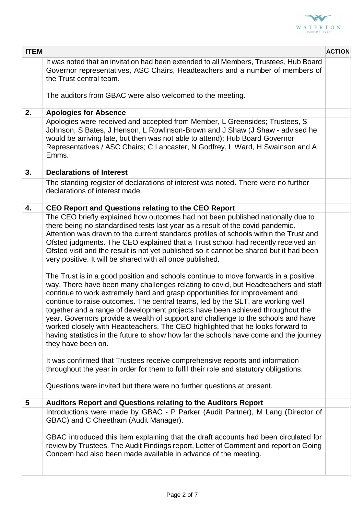

| <b>ITEM</b>     |                                                                                                                                                                                                                                                                                                                                                                                                                                                                                                                                                                                                                                                                                                                                                                                                                                                                                                                                                                                                                                                                                                                                                                                                                                                                                                                                                                                                                                                                                  | <b>ACTION</b> |
|-----------------|----------------------------------------------------------------------------------------------------------------------------------------------------------------------------------------------------------------------------------------------------------------------------------------------------------------------------------------------------------------------------------------------------------------------------------------------------------------------------------------------------------------------------------------------------------------------------------------------------------------------------------------------------------------------------------------------------------------------------------------------------------------------------------------------------------------------------------------------------------------------------------------------------------------------------------------------------------------------------------------------------------------------------------------------------------------------------------------------------------------------------------------------------------------------------------------------------------------------------------------------------------------------------------------------------------------------------------------------------------------------------------------------------------------------------------------------------------------------------------|---------------|
|                 | It was noted that an invitation had been extended to all Members, Trustees, Hub Board<br>Governor representatives, ASC Chairs, Headteachers and a number of members of<br>the Trust central team.                                                                                                                                                                                                                                                                                                                                                                                                                                                                                                                                                                                                                                                                                                                                                                                                                                                                                                                                                                                                                                                                                                                                                                                                                                                                                |               |
|                 | The auditors from GBAC were also welcomed to the meeting.                                                                                                                                                                                                                                                                                                                                                                                                                                                                                                                                                                                                                                                                                                                                                                                                                                                                                                                                                                                                                                                                                                                                                                                                                                                                                                                                                                                                                        |               |
| 2.              | <b>Apologies for Absence</b>                                                                                                                                                                                                                                                                                                                                                                                                                                                                                                                                                                                                                                                                                                                                                                                                                                                                                                                                                                                                                                                                                                                                                                                                                                                                                                                                                                                                                                                     |               |
|                 | Apologies were received and accepted from Member, L Greensides; Trustees, S<br>Johnson, S Bates, J Henson, L Rowlinson-Brown and J Shaw (J Shaw - advised he<br>would be arriving late, but then was not able to attend); Hub Board Governor<br>Representatives / ASC Chairs; C Lancaster, N Godfrey, L Ward, H Swainson and A<br>Emms.                                                                                                                                                                                                                                                                                                                                                                                                                                                                                                                                                                                                                                                                                                                                                                                                                                                                                                                                                                                                                                                                                                                                          |               |
| 3.              | <b>Declarations of Interest</b>                                                                                                                                                                                                                                                                                                                                                                                                                                                                                                                                                                                                                                                                                                                                                                                                                                                                                                                                                                                                                                                                                                                                                                                                                                                                                                                                                                                                                                                  |               |
|                 | The standing register of declarations of interest was noted. There were no further<br>declarations of interest made.                                                                                                                                                                                                                                                                                                                                                                                                                                                                                                                                                                                                                                                                                                                                                                                                                                                                                                                                                                                                                                                                                                                                                                                                                                                                                                                                                             |               |
| 4.              | <b>CEO Report and Questions relating to the CEO Report</b>                                                                                                                                                                                                                                                                                                                                                                                                                                                                                                                                                                                                                                                                                                                                                                                                                                                                                                                                                                                                                                                                                                                                                                                                                                                                                                                                                                                                                       |               |
|                 | The CEO briefly explained how outcomes had not been published nationally due to<br>there being no standardised tests last year as a result of the covid pandemic.<br>Attention was drawn to the current standards profiles of schools within the Trust and<br>Ofsted judgments. The CEO explained that a Trust school had recently received an<br>Ofsted visit and the result is not yet published so it cannot be shared but it had been<br>very positive. It will be shared with all once published.<br>The Trust is in a good position and schools continue to move forwards in a positive<br>way. There have been many challenges relating to covid, but Headteachers and staff<br>continue to work extremely hard and grasp opportunities for improvement and<br>continue to raise outcomes. The central teams, led by the SLT, are working well<br>together and a range of development projects have been achieved throughout the<br>year. Governors provide a wealth of support and challenge to the schools and have<br>worked closely with Headteachers. The CEO highlighted that he looks forward to<br>having statistics in the future to show how far the schools have come and the journey<br>they have been on.<br>It was confirmed that Trustees receive comprehensive reports and information<br>throughout the year in order for them to fulfil their role and statutory obligations.<br>Questions were invited but there were no further questions at present. |               |
| $5\phantom{.0}$ | Auditors Report and Questions relating to the Auditors Report                                                                                                                                                                                                                                                                                                                                                                                                                                                                                                                                                                                                                                                                                                                                                                                                                                                                                                                                                                                                                                                                                                                                                                                                                                                                                                                                                                                                                    |               |
|                 | Introductions were made by GBAC - P Parker (Audit Partner), M Lang (Director of<br>GBAC) and C Cheetham (Audit Manager).<br>GBAC introduced this item explaining that the draft accounts had been circulated for<br>review by Trustees. The Audit Findings report, Letter of Comment and report on Going<br>Concern had also been made available in advance of the meeting.                                                                                                                                                                                                                                                                                                                                                                                                                                                                                                                                                                                                                                                                                                                                                                                                                                                                                                                                                                                                                                                                                                      |               |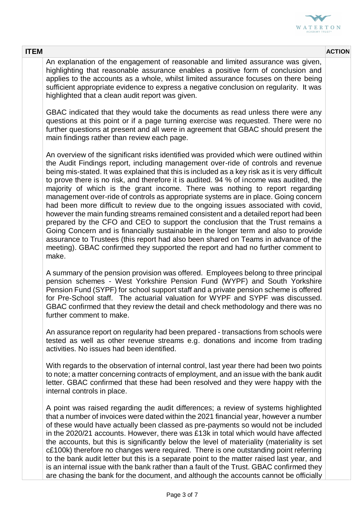

**ITEM ACTION**

An explanation of the engagement of reasonable and limited assurance was given, highlighting that reasonable assurance enables a positive form of conclusion and applies to the accounts as a whole, whilst limited assurance focuses on there being sufficient appropriate evidence to express a negative conclusion on regularity. It was highlighted that a clean audit report was given.

GBAC indicated that they would take the documents as read unless there were any questions at this point or if a page turning exercise was requested. There were no further questions at present and all were in agreement that GBAC should present the main findings rather than review each page.

An overview of the significant risks identified was provided which were outlined within the Audit Findings report, including management over-ride of controls and revenue being mis-stated. It was explained that this is included as a key risk as it is very difficult to prove there is no risk, and therefore it is audited. 94 % of income was audited, the majority of which is the grant income. There was nothing to report regarding management over-ride of controls as appropriate systems are in place. Going concern had been more difficult to review due to the ongoing issues associated with covid, however the main funding streams remained consistent and a detailed report had been prepared by the CFO and CEO to support the conclusion that the Trust remains a Going Concern and is financially sustainable in the longer term and also to provide assurance to Trustees (this report had also been shared on Teams in advance of the meeting). GBAC confirmed they supported the report and had no further comment to make.

A summary of the pension provision was offered. Employees belong to three principal pension schemes - West Yorkshire Pension Fund (WYPF) and South Yorkshire Pension Fund (SYPF) for school support staff and a private pension scheme is offered for Pre-School staff. The actuarial valuation for WYPF and SYPF was discussed. GBAC confirmed that they review the detail and check methodology and there was no further comment to make.

An assurance report on regularity had been prepared - transactions from schools were tested as well as other revenue streams e.g. donations and income from trading activities. No issues had been identified.

With regards to the observation of internal control, last year there had been two points to note; a matter concerning contracts of employment, and an issue with the bank audit letter. GBAC confirmed that these had been resolved and they were happy with the internal controls in place.

A point was raised regarding the audit differences; a review of systems highlighted that a number of invoices were dated within the 2021 financial year, however a number of these would have actually been classed as pre-payments so would not be included in the 2020/21 accounts. However, there was £13k in total which would have affected the accounts, but this is significantly below the level of materiality (materiality is set c£100k) therefore no changes were required. There is one outstanding point referring to the bank audit letter but this is a separate point to the matter raised last year, and is an internal issue with the bank rather than a fault of the Trust. GBAC confirmed they are chasing the bank for the document, and although the accounts cannot be officially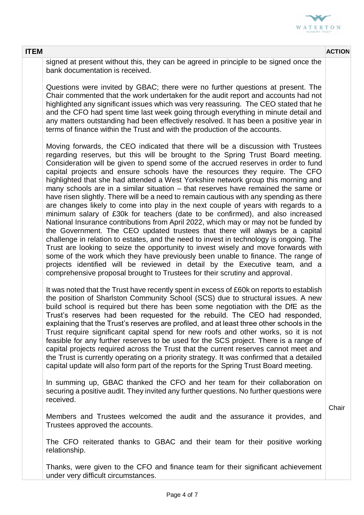

#### **ITEM ACTION**

signed at present without this, they can be agreed in principle to be signed once the bank documentation is received.

Questions were invited by GBAC; there were no further questions at present. The Chair commented that the work undertaken for the audit report and accounts had not highlighted any significant issues which was very reassuring. The CEO stated that he and the CFO had spent time last week going through everything in minute detail and any matters outstanding had been effectively resolved. It has been a positive year in terms of finance within the Trust and with the production of the accounts.

Moving forwards, the CEO indicated that there will be a discussion with Trustees regarding reserves, but this will be brought to the Spring Trust Board meeting. Consideration will be given to spend some of the accrued reserves in order to fund capital projects and ensure schools have the resources they require. The CFO highlighted that she had attended a West Yorkshire network group this morning and many schools are in a similar situation – that reserves have remained the same or have risen slightly. There will be a need to remain cautious with any spending as there are changes likely to come into play in the next couple of years with regards to a minimum salary of £30k for teachers (date to be confirmed), and also increased National Insurance contributions from April 2022, which may or may not be funded by the Government. The CEO updated trustees that there will always be a capital challenge in relation to estates, and the need to invest in technology is ongoing. The Trust are looking to seize the opportunity to invest wisely and move forwards with some of the work which they have previously been unable to finance. The range of projects identified will be reviewed in detail by the Executive team, and a comprehensive proposal brought to Trustees for their scrutiny and approval.

It was noted that the Trust have recently spent in excess of £60k on reports to establish the position of Sharlston Community School (SCS) due to structural issues. A new build school is required but there has been some negotiation with the DfE as the Trust's reserves had been requested for the rebuild. The CEO had responded, explaining that the Trust's reserves are profiled, and at least three other schools in the Trust require significant capital spend for new roofs and other works, so it is not feasible for any further reserves to be used for the SCS project. There is a range of capital projects required across the Trust that the current reserves cannot meet and the Trust is currently operating on a priority strategy. It was confirmed that a detailed capital update will also form part of the reports for the Spring Trust Board meeting.

In summing up, GBAC thanked the CFO and her team for their collaboration on securing a positive audit. They invited any further questions. No further questions were received.

Members and Trustees welcomed the audit and the assurance it provides, and Trustees approved the accounts.

The CFO reiterated thanks to GBAC and their team for their positive working relationship.

Thanks, were given to the CFO and finance team for their significant achievement under very difficult circumstances.

**Chair**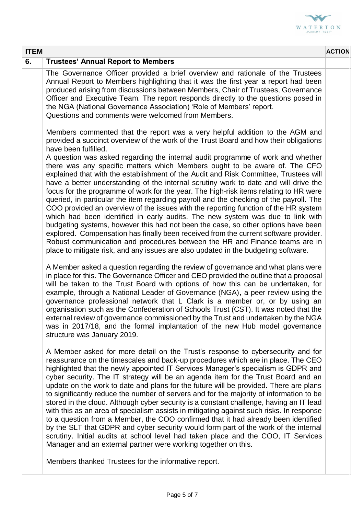

| <b>ITEM</b> |                                                                                                                                                                                                                                                                                                                                                                                                                                                                                                                                                                                                                                                                                                                                                                                                                                                                                                                                                                                                                                                                                                                                                                                                                                                                                                                                                                                                                                            | <b>ACTION</b> |
|-------------|--------------------------------------------------------------------------------------------------------------------------------------------------------------------------------------------------------------------------------------------------------------------------------------------------------------------------------------------------------------------------------------------------------------------------------------------------------------------------------------------------------------------------------------------------------------------------------------------------------------------------------------------------------------------------------------------------------------------------------------------------------------------------------------------------------------------------------------------------------------------------------------------------------------------------------------------------------------------------------------------------------------------------------------------------------------------------------------------------------------------------------------------------------------------------------------------------------------------------------------------------------------------------------------------------------------------------------------------------------------------------------------------------------------------------------------------|---------------|
| 6.          | <b>Trustees' Annual Report to Members</b>                                                                                                                                                                                                                                                                                                                                                                                                                                                                                                                                                                                                                                                                                                                                                                                                                                                                                                                                                                                                                                                                                                                                                                                                                                                                                                                                                                                                  |               |
|             | The Governance Officer provided a brief overview and rationale of the Trustees<br>Annual Report to Members highlighting that it was the first year a report had been<br>produced arising from discussions between Members, Chair of Trustees, Governance<br>Officer and Executive Team. The report responds directly to the questions posed in<br>the NGA (National Governance Association) 'Role of Members' report.<br>Questions and comments were welcomed from Members.                                                                                                                                                                                                                                                                                                                                                                                                                                                                                                                                                                                                                                                                                                                                                                                                                                                                                                                                                                |               |
|             | Members commented that the report was a very helpful addition to the AGM and<br>provided a succinct overview of the work of the Trust Board and how their obligations<br>have been fulfilled.<br>A question was asked regarding the internal audit programme of work and whether<br>there was any specific matters which Members ought to be aware of. The CFO<br>explained that with the establishment of the Audit and Risk Committee, Trustees will<br>have a better understanding of the internal scrutiny work to date and will drive the<br>focus for the programme of work for the year. The high-risk items relating to HR were<br>queried, in particular the item regarding payroll and the checking of the payroll. The<br>COO provided an overview of the issues with the reporting function of the HR system<br>which had been identified in early audits. The new system was due to link with<br>budgeting systems, however this had not been the case, so other options have been<br>explored. Compensation has finally been received from the current software provider.<br>Robust communication and procedures between the HR and Finance teams are in<br>place to mitigate risk, and any issues are also updated in the budgeting software.<br>A Member asked a question regarding the review of governance and what plans were<br>in place for this. The Governance Officer and CEO provided the outline that a proposal |               |
|             | will be taken to the Trust Board with options of how this can be undertaken, for<br>example, through a National Leader of Governance (NGA), a peer review using the<br>governance professional network that L Clark is a member or, or by using an<br>organisation such as the Confederation of Schools Trust (CST). It was noted that the<br>external review of governance commissioned by the Trust and undertaken by the NGA<br>was in 2017/18, and the formal implantation of the new Hub model governance<br>structure was January 2019.                                                                                                                                                                                                                                                                                                                                                                                                                                                                                                                                                                                                                                                                                                                                                                                                                                                                                              |               |
|             | A Member asked for more detail on the Trust's response to cybersecurity and for<br>reassurance on the timescales and back-up procedures which are in place. The CEO<br>highlighted that the newly appointed IT Services Manager's specialism is GDPR and<br>cyber security. The IT strategy will be an agenda item for the Trust Board and an<br>update on the work to date and plans for the future will be provided. There are plans<br>to significantly reduce the number of servers and for the majority of information to be<br>stored in the cloud. Although cyber security is a constant challenge, having an IT lead<br>with this as an area of specialism assists in mitigating against such risks. In response<br>to a question from a Member, the COO confirmed that it had already been identified<br>by the SLT that GDPR and cyber security would form part of the work of the internal<br>scrutiny. Initial audits at school level had taken place and the COO, IT Services<br>Manager and an external partner were working together on this.                                                                                                                                                                                                                                                                                                                                                                               |               |
|             | Members thanked Trustees for the informative report.                                                                                                                                                                                                                                                                                                                                                                                                                                                                                                                                                                                                                                                                                                                                                                                                                                                                                                                                                                                                                                                                                                                                                                                                                                                                                                                                                                                       |               |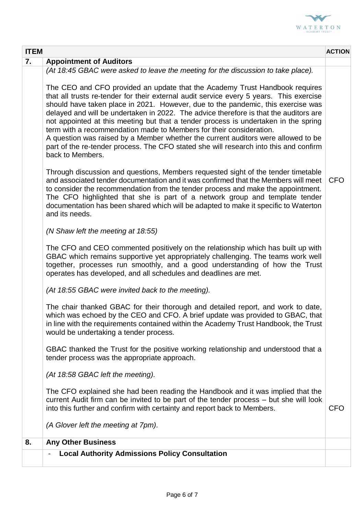

| <b>ITEM</b> |                                                                                                                                                                                                                                                                                                                                                                                                                                                                                                                                                                                                                                      | <b>ACTION</b> |
|-------------|--------------------------------------------------------------------------------------------------------------------------------------------------------------------------------------------------------------------------------------------------------------------------------------------------------------------------------------------------------------------------------------------------------------------------------------------------------------------------------------------------------------------------------------------------------------------------------------------------------------------------------------|---------------|
| 7.          | <b>Appointment of Auditors</b>                                                                                                                                                                                                                                                                                                                                                                                                                                                                                                                                                                                                       |               |
|             | (At 18:45 GBAC were asked to leave the meeting for the discussion to take place).<br>The CEO and CFO provided an update that the Academy Trust Handbook requires                                                                                                                                                                                                                                                                                                                                                                                                                                                                     |               |
|             | that all trusts re-tender for their external audit service every 5 years. This exercise<br>should have taken place in 2021. However, due to the pandemic, this exercise was<br>delayed and will be undertaken in 2022. The advice therefore is that the auditors are<br>not appointed at this meeting but that a tender process is undertaken in the spring<br>term with a recommendation made to Members for their consideration.<br>A question was raised by a Member whether the current auditors were allowed to be<br>part of the re-tender process. The CFO stated she will research into this and confirm<br>back to Members. |               |
|             | Through discussion and questions, Members requested sight of the tender timetable<br>and associated tender documentation and it was confirmed that the Members will meet<br>to consider the recommendation from the tender process and make the appointment.<br>The CFO highlighted that she is part of a network group and template tender<br>documentation has been shared which will be adapted to make it specific to Waterton<br>and its needs.                                                                                                                                                                                 | <b>CFO</b>    |
|             | (N Shaw left the meeting at 18:55)                                                                                                                                                                                                                                                                                                                                                                                                                                                                                                                                                                                                   |               |
|             | The CFO and CEO commented positively on the relationship which has built up with<br>GBAC which remains supportive yet appropriately challenging. The teams work well<br>together, processes run smoothly, and a good understanding of how the Trust<br>operates has developed, and all schedules and deadlines are met.                                                                                                                                                                                                                                                                                                              |               |
|             | (At 18:55 GBAC were invited back to the meeting).                                                                                                                                                                                                                                                                                                                                                                                                                                                                                                                                                                                    |               |
|             | The chair thanked GBAC for their thorough and detailed report, and work to date,<br>which was echoed by the CEO and CFO. A brief update was provided to GBAC, that<br>in line with the requirements contained within the Academy Trust Handbook, the Trust<br>would be undertaking a tender process.                                                                                                                                                                                                                                                                                                                                 |               |
|             | GBAC thanked the Trust for the positive working relationship and understood that a<br>tender process was the appropriate approach.                                                                                                                                                                                                                                                                                                                                                                                                                                                                                                   |               |
|             | (At 18:58 GBAC left the meeting).                                                                                                                                                                                                                                                                                                                                                                                                                                                                                                                                                                                                    |               |
|             | The CFO explained she had been reading the Handbook and it was implied that the<br>current Audit firm can be invited to be part of the tender process - but she will look<br>into this further and confirm with certainty and report back to Members.                                                                                                                                                                                                                                                                                                                                                                                | <b>CFO</b>    |
|             | (A Glover left the meeting at 7pm).                                                                                                                                                                                                                                                                                                                                                                                                                                                                                                                                                                                                  |               |
| 8.          | <b>Any Other Business</b>                                                                                                                                                                                                                                                                                                                                                                                                                                                                                                                                                                                                            |               |
|             | <b>Local Authority Admissions Policy Consultation</b>                                                                                                                                                                                                                                                                                                                                                                                                                                                                                                                                                                                |               |